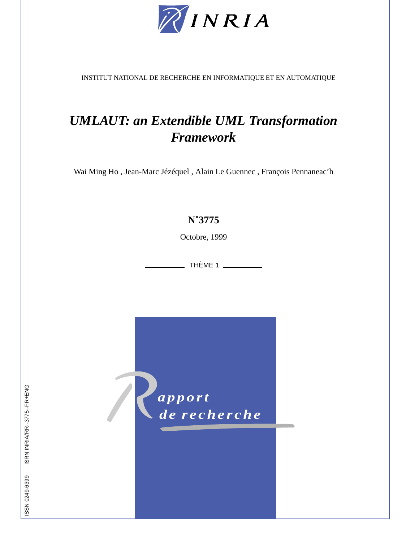

INSTITUT NATIONAL DE RECHERCHE EN INFORMATIQUE ET EN AUTOMATIQUE

# *UMLAUT: an Extendible UML Transformation Framework*

Wai Ming Ho , Jean-Marc Jézéquel , Alain Le Guennec , François Pennaneac'h

# **N˚3775**

Octobre, 1999

\_\_ THÈME 1 \_\_\_\_\_\_\_\_\_\_

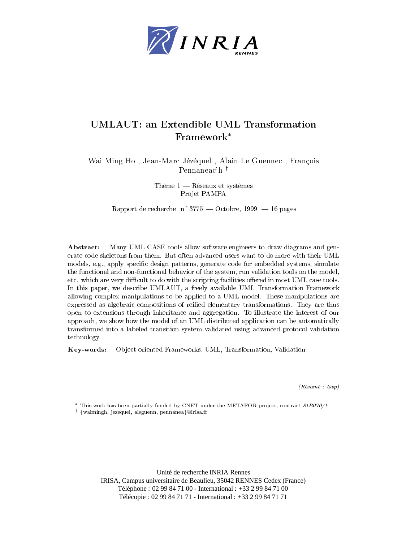

# UMLAUT: an Extendible UML Transformation Framework

was didney and the court didney was presented at the contract the country and the country of the country of the Pennaneac'h  $^{\dagger}$ 

> The experimental control of the experimental control of the experimental control of the experimental control of Projet PAMPA

rapport de recherche ne recherche octobre, root en peger

Abstract: Many UML CASE tools allow software engineers to draw diagrams and generate code skeletons from them But often advanced users want to do more with their UML models, e.g., apply specific design patterns, generate code for embedded systems, simulate the functional and non-functional behavior of the system, run validation tools on the model, etc. which are very difficult to do with the scripting facilities offered in most UML case tools. In this paper, we describe UMLAUT, a freely available UML Transformation Framework allowing complex manipulations to be applied to a UML model These manipulations are expressed as algebraic compositions of reified elementary transformations. They are thus open to extensions through inheritance and aggregation To illustrate the interest of our approach, we show how the model of an UML distributed application can be automatically transformed into a labeled transition system validated using advanced protocol validation technology

Key-Object-oriented Frameworks, UML, Transformation, Validation

 $\lbrack$  recounted  $\lbrack$  recounted  $\lbrack$  recounted  $\lbrack$ 

This work has been partially funded by CNET under the METAFOR project, contract  $\delta I D U U / I$ 

+ {waimingn, jezequel, aleguenn, pennanea∤⊌irisa.ir

Unité de recherche INRIA Rennes IRISA, Campus universitaire de Beaulieu, 35042 RENNES Cedex (France) Téléphone : 02 99 84 71 00 - International : +33 2 99 84 71 00 Télécopie : 02 99 84 71 71 - International : +33 2 99 84 71 71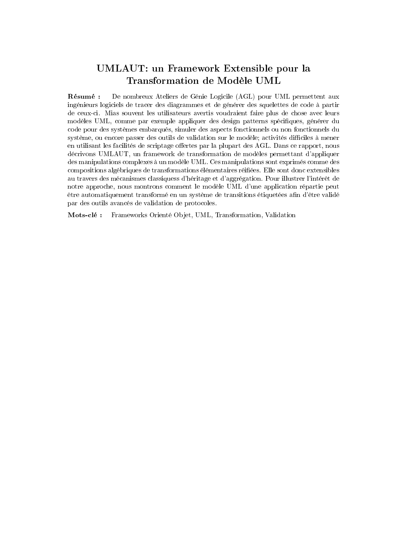# UMLAUT: un Framework Extensible pour la

Résumé : De nombreux Ateliers de Génie Logicile (AGL) pour UML permettent aux ingénieurs logiciels de tracer des diagrammes et de générer des squelettes de code à partir de ceux-ci. Mias souvent les utilisateurs avertis voudraient faire plus de chose avec leurs modèles UML, comme par exemple appliquer des design patterns spécifiques, générer du code pour des systèmes embarqués, simuler des aspects fonctionnels ou non fonctionnels du système, ou encore passer des outils de validation sur le modèle; activités difficiles à mener en utilisant les facilités de scriptage offertes par la plupart des AGL. Dans ce rapport, nous décrivons UMLAUT, un framework de transformation de modèles permettant d'appliquer des manipulations complexes à un modèle UML. Ces manipulations sont exprimés comme des compositions algébriques de transformations élémentaires réifiées. Elle sont donc extensibles au travers des mécanismes classiquess d'héritage et d'aggrégation. Pour illustrer l'intérêt de notre approche, nous montrons comment le modèle UML d'une application répartie peut etre automatiquement transformé en un système de transitions étiquetées afin d'être validé par des outils avancés de validation de protocoles.

cle is the commutation of the commutation of the commutations of the commutation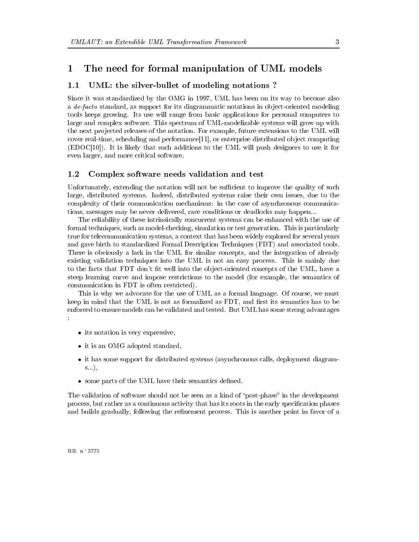## $\mathbf 1$ The need for formal manipulation of UML models

## UML: the silver-bullet of modeling notations?  $1.1$

was to the ordinardized by the OMG in - to be also been one on its way to be considered and a a de-facto standard as supports for its diagrammatic modeling in object the support in observed  $\pi$ tools keeps growing Its use will range from basic applications for personal computers to large and complex software. This spectrum of UML-modelizable systems will grow up with the next projected releases of the notation. For example, future extensions to the UML will cover real time  $\mathcal{L}$  real time scheduling and performance-between  $\mathcal{L}$  real time scheduling and performance-EDOC- It is likely that such additions to the UML will push designers to use it for even larger, and more critical software.

#### $1.2\,$ Complex software needs validation and test

Unfortunately, extending the notation will not be sufficient to improve the quality of such large, distributed systems. Indeed, distributed systems raise their own issues, due to the complexity of their communication mechanisms in the case of asynchronous communica tions, messages may be never delivered, race conditions or deadlocks may happen...

The reliability of these intrinsically concurrent systems can be enhanced with the use of formal techniques, such as model-checking, simulation or test generation. This is particularly true for telecommunication systems, a context that has been widely explored for several years and gave birth to standardized Formal Description Techniques (FDT) and associated tools. There is obviously a lack in the UML for similar concepts, and the integration of already existing validation techniques into the UML is not an easy process This is mainly due to the facts that FDT don't fit well into the object-oriented concepts of the UML, have a steep learning curve and impose restrictions to the model (for example, the semantics of communication in FDT is often restricted

This is why we advocate for the use of UML as a formal language. Of course, we must keep in mind that the UML is not as formalized as FDT, and first its semantics has to be enforced to ensure models can be validated and tested But UML has some strong advantages  $\Delta$ 

- -its notation is very expressive in the contract of the contract of the contract of the contract of the contract of the contract of the contract of the contract of the contract of the contract of the contract of the contra
- it is an OMG adopted standard
- it has some support for distribution systems and  $\mathcal{L}_{\mathcal{A}}$  distributed systems as  $\mathcal{L}_{\mathcal{A}}$  depends as a system of  $\mathcal{L}_{\mathcal{A}}$  $s$ ...),
- some parts of the UML have their semantics dened

The validation of software should not be seen as a kind of "post-phase" in the development process, but rather as a continuous activity that has its roots in the early specification phases and builds gradually, following the refinement process. This is another point in favor of a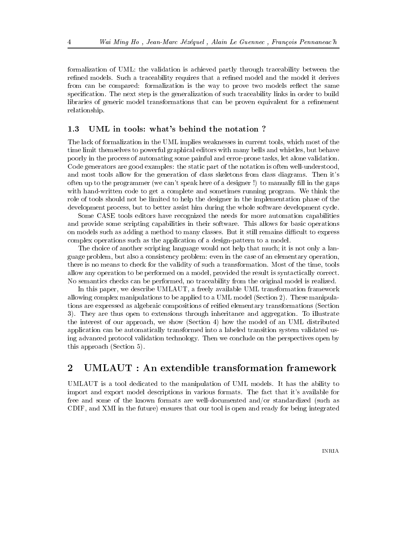formalization of UML: the validation is achieved partly through traceability between the refined models. Such a traceability requires that a refined model and the model it derives from can be compared: formalization is the way to prove two models reflect the same specification. The next step is the generalization of such traceability links in order to build libraries of generic model transformations that can be proven equivalent for a refinement relationship

#### $1.3\,$ UML in tools: what's behind the notation?

The lack of formalization in the UML implies weaknesses in current tools, which most of the time limit themselves to powerful graphical editors with many bells and whistles, but behave poorly in the process of automating some painful and error-prone tasks, let alone validation. Code generators are good examples: the static part of the notation is often well-understood, and most tools allow for the generation of class skeletons from class diagrams. Then it's often up to the programmer (we can't speak here of a designer !) to manually fill in the gaps with hand-written code to get a complete and sometimes running program. We think the role of tools should not be limited to help the designer in the implementation phase of the development process, but to better assist him during the whole software development cycle.

Some CASE tools editors have recognized the needs for more automation capabilities and provide some scripting capabilities in their software This allows for basic operations on models such as adding a method to many classes. But it still remains difficult to express complex operations such as the application of a design-pattern to a model.

The choice of another scripting language would not help that much; it is not only a language problem, but also a consistency problem: even in the case of an elementary operation, there is no means to check for the validity of such a transformation. Most of the time, tools allow any operation to be performed on a model, provided the result is syntactically correct. No semantics checks can be performed, no traceability from the original model is realized.

In this paper, we describe UMLAUT, a freely available UML transformation framework allowing complex manipulations to be applied to a UML model (Section 2). These manipulations are expressed as algebraic compositions of reified elementary transformations (Section 3). They are thus open to extensions through inheritance and aggregation. To illustrate the interest of our approach, we show (Section 4) how the model of an UML distributed application can be automatically transformed into a labeled transition system validated us ing advanced protocol validation technology Then we conclude on the perspectives open by this approach (Section  $5$ ).

## $\overline{2}$ UMLAUT : An extendible transformation framework

UMLAUT is a tool dedicated to the manipulation of UML models It has the ability to import and export model descriptions in various formats. The fact that it's available for free and some of the known formats are well-documented and/or standardized (such as CDIF, and XMI in the future) ensures that our tool is open and ready for being integrated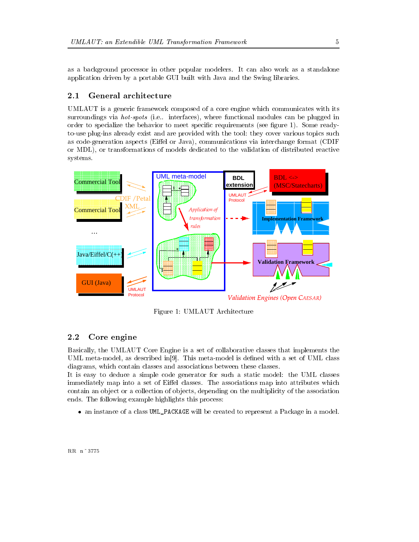as a background processor in other popular modelers It can also work as a standalone application driven by a portable GUI built with Java and the Swing libraries

## 2.1 General architecture

UMLAUT is a generic framework composed of a core engine which communicates with its surroundings via hot-spots (plug interfaces), where cannot module interfaces are plugged in the plugged in order to specificate the behavior to meetic specific requirements (see myones ready work forms) . The to-use plug-ins already exist and are provided with the tool: they cover various topics such as code-generation aspects (Eiffel or Java), communications via interchange format (CDIF or MDL), or transformations of models dedicated to the validation of distributed reactive systems



Figure - UMLAUT Architecture

## 2.2 Core engine

Basically, the UMLAUT Core Engine is a set of collaborative classes that implements the UML metal metallis metallise seller in de set of UML class in dened with a set of UML class the set of UML cla diagrams, which contain classes and associations between these classes.

It is easy to deduce a simple code generator for such a static model: the UML classes immediately map into a set of Eiffel classes. The associations map into attributes which contain an object or a collection of objects, depending on the multiplicity of the association ends The following example highlights this process

- an instance of a class UMLPACKAGE will be created to representaPackage in a model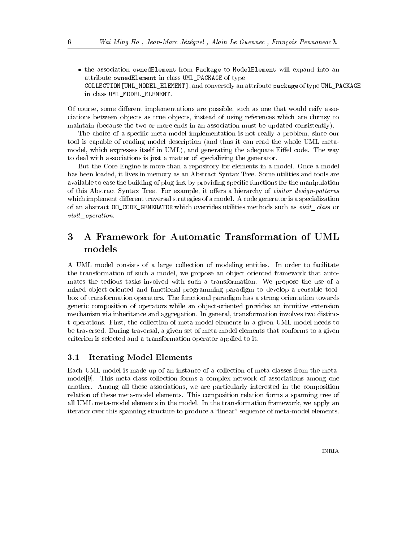- the association ownedElement from Package to ModelElement will expand into an attribute ownedElement in class UML\_PACKAGE of type UMLMODELELEMENT IN THE COLLECTION-CONVERSELY AND CONVERSELY AND CONVERSELY AND CONVERSELY AND CONVERSELY AND CONVERSELY AND CONVERSELY AND CONVERSELY AND CONVERSELY AND CONVERSELY AND CONVERSELY AND CONVERSELY AND CONVERSE in class UML\_MODEL\_ELEMENT.

Of course, some different implementations are possible, such as one that would reify associations between ob jects as true ob jects instead of using references which are clumsy to maintain (because the two or more ends in an association must be updated consistently).

The choice of a specific meta-model implementation is not really a problem, since our tool is capable of reading model description (and thus it can read the whole UML metamodel, which expresses itself in UML), and generating the adequate Eiffel code. The way to deal with associations is just a matter of specializing the generator

But the Core Engine is more than a repository for elements in a model Once a model has been loaded, it lives in memory as an Abstract Syntax Tree. Some utilities and tools are available to ease the building of plug-ins, by providing specific functions for the manipulation of this Abstract Syntax Tree For example it oers a hierarchy of visitor design-patterns which implement different traversal strategies of a model. A code generator is a specialization of an abstract  $00$ <sub>-CODE</sub>-GENERATOR which overrides utilities methods such as *visit* class or visit operation.

## A Framework for Automatic Transformation of UML models

A UML model consists of a large collection of modeling entities In order to facilitate the transformation of such a model, we propose an object oriented framework that automates the tedious tasks involved with such a transformation We propose the use of a mixed object-oriented and functional programming paradigm to develop a reusable toolbox of transformation operators The functional paradigm has a strong orientation towards generic composition of operators while an object-oriented provides an intuitive extension mechanism via inheritance and aggregation. In general, transformation involves two distinct operations. First, the collection of meta-model elements in a given UML model needs to be traversed. During traversal, a given set of meta-model elements that conforms to a given criterion is selected and a transformation operator applied to it

## 3.1 Iterating Model Elements

Each UML model is made up of an instance of a collection of meta-classes from the metamodels is a collection forms a collection for a complex network of an among the complex  $\Delta$  and another. Among all these associations, we are particularly interested in the composition relation of these meta-model elements. This composition relation forms a spanning tree of all UML meta-model elements in the model. In the transformation framework, we apply an iterator over this spanning structure to produce a "linear" sequence of meta-model elements.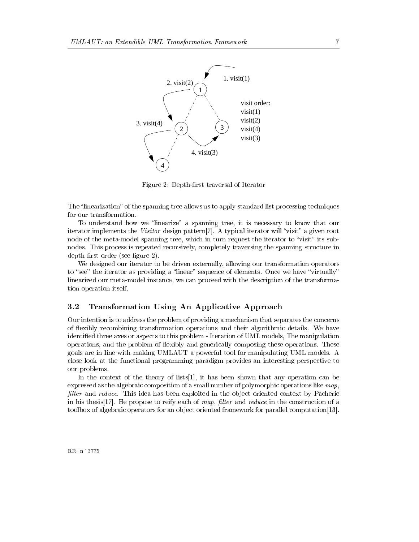

Figure 2: Depth-first traversal of Iterator

The "linearization" of the spanning tree allows us to apply standard list processing techniques for our transformation

To understand how we "linearize" a spanning tree, it is necessary to know that our iterator implements the Visitor design pattern [7]. A typical iterator will "visit" a given root node of the meta-model spanning tree, which in turn request the iterator to "visit" its subnodes. This process is repeated recursively, completely traversing the spanning structure in  $depth-first order (see figure 2).$ 

We designed our iterator to be driven externally, allowing our transformation operators to "see" the iterator as providing a "linear" sequence of elements. Once we have "virtually" linearized our meta-model instance, we can proceed with the description of the transformation operation itself

#### 3.2 Transformation Using An Applicative Approach

Our intention is to address the problem of providing a mechanism that separates the concerns of flexibly recombining transformation operations and their algorithmic details. We have identified three axes or aspects to this problem - Iteration of UML models, The manipulation operations, and the problem of flexibly and generically composing these operations. These goals are in line with making UMLAUT a powerful tool for manipulating UML models A close look at the functional programming paradigm provides an interesting perspective to our problems

In the context of the theory of lists- it has been shown that any operation can be expressed as the algebraic composition of a small number of polymorphic operations like  $map$ , filter and reduce. This idea has been exploited in the object oriented context by Pacherie in his thesis- He propose to reify each of map lter and reduce in the construction of a toolbox of algebraic operators for an ob ject oriented framework for parallel computation-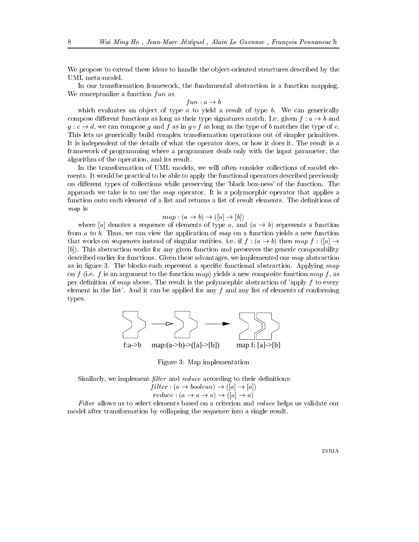We propose to extend these ideas to handle the object-oriented structures described by the UML meta-model.

In our transformation framework, the fundamental abstraction is a function mapping. We conceptualize a function  $fun$  as

f un  $u \rightarrow v$ 

which evaluates an object of type  $\alpha$  to yield a result of type  $\beta$ . We can generically compose different functions as long as their type signatures match. I.e. given  $f: a \rightarrow b$  and  $g \mapsto \alpha$  is a composed g and f as in  $g \mapsto \alpha$  is the type of b matches the type of c This lets us generically build complex transformation operations out of simpler primitives It is independent of the details of what the operator does, or how it does it. The result is a framework of programming where a programmer deals only with the input parameter, the algorithm of the operation, and its result.

In the transformation of UML models, we will often consider collections of model elements It would be practical to be able to apply the functional operators described previously on different types of collections while preserving the 'black box-ness' of the function. The approach we take is to use the map operator. It is a polymorphic operator that applies a function onto each element of a list and returns a list of result elements. The definitions of map is

## $\mathbf{b}$  .  $\mathbf{b}$  ,  $\mathbf{c}$  ,  $\mathbf{b}$  ,  $\mathbf{c}$  ,  $\mathbf{b}$  ,  $\mathbf{c}$  ,  $\mathbf{b}$  ,  $\mathbf{c}$  ,  $\mathbf{b}$  ,  $\mathbf{c}$  ,  $\mathbf{c}$  ,  $\mathbf{c}$  ,  $\mathbf{c}$  ,  $\mathbf{c}$  ,  $\mathbf{c}$  ,  $\mathbf{c}$  ,  $\mathbf{c}$  ,  $\mathbf{c}$  ,  $\mathbf{c}$  ,

where a denotes a sequence of elements of type and  $\alpha$  and  $\alpha$  is the sequence of the function from a to b. Thus, we can view the application of map on a function yields a new function  $\alpha$  and works on sequences instead of singular entities. I.e. if  $f: (a \rightarrow b)$  then map f  $\alpha$  ( $|a| \rightarrow$ [b]). This abstraction works for any given function and preserves the generic composability described earlier for functions. Given these advantages, we implemented our map abstraction as in figure 3. The blocks each represent a specific functional abstraction. Applying  $map$ on f (i.e. f is an argument to the function map) yields a new composite function map f, as per definition of map above. The result is the polymorphic abstraction of 'apply  $f$  to every element in the list'. And it can be applied for any  $f$  and any list of elements of conforming types



Figure 3: Map implementation

Similarly, we implement *filter* and *reduce* according to their definitions:

$$
filter: (a \rightarrow boolean) \rightarrow ([a] \rightarrow [a])
$$

 $\alpha$  . The contract  $\alpha$  is a set of  $\alpha$  in the contract of  $\alpha$  is a set of  $\alpha$  is a set of  $\alpha$  is a set of  $\alpha$ 

Filter allows us to select elements based on a criterion and *reduce* helps us validate our model after transformation by collapsing the sequence into a single result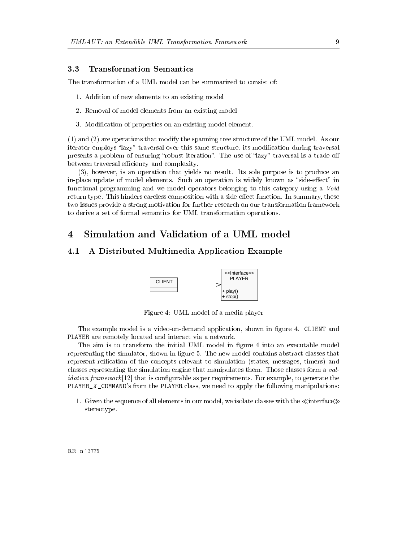## Transformation Semantics  $3.3$

The transformation of a UML model can be summarized to consist of

- Addition of new elements to an existing model
- 2. Removal of model elements from an existing model
- 3. Modification of properties on an existing model element.

- and are operations that modify the spanning tree structure of the UML model As our iterator employs "lazy" traversal over this same structure, its modification during traversal presents a problem of ensuring "robust iteration". The use of "lazy" traversal is a trade-off between traversal efficiency and complexity.

 $(3)$ , however, is an operation that yields no result. Its sole purpose is to produce an in-place update of model elements. Such an operation is widely known as "side-effect" in functional programming and we model operators belonging to this category using a Void return type. This hinders careless composition with a side-effect function. In summary, these two issues provide a strong motivation for further research on our transformation framework to derive a set of formal semantics for UML transformation operations

## $\overline{4}$ Simulation and Validation of a UML model

## 4.1 A Distributed Multimedia Application Example



Figure 4: UML model of a media player

The example model is a video-on-demand application, shown in figure 4. CLIENT and PLAYER are remotely located and interact via a network

The aim is to transform the initial UML model in figure 4 into an executable model representing the simulator, shown in figure 5. The new model contains abstract classes that represent reification of the concepts relevant to simulation (states, messages, timers) and classes representing the simulation engine that manipulates them Those classes form a validation framework - that is congurable as per requirements of the congress of the congress of the congress of the congress of the congress of the congress of the congress of the congress of the congress of the congress of PLAYER  $X$  COMMAND's from the PLAYER class, we need to apply the following manipulations:

- Given the sequence of all elements in our model with the interface with the interface  $\sqrt{2}$ stereotype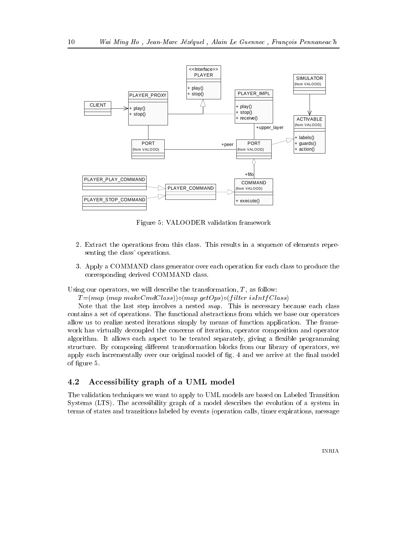

Figure 5: VALOODER validation framework

- Extract the operations from this class This results in a sequence of elements repre senting the class' operations.
- 3. Apply a COMMAND class generator over each operation for each class to produce the corresponding derived COMMAND class

Using our operators, we will describe the transformation,  $T$ , as follow:

 $I = \{map \ (map\ mass) \}$   $\cup \{map \ geotopy \}$  ifter is information

Note that the last step involves a nested map This is necessary because each class contains a set of operations The functional abstractions from which we base our operators allow us to realize nested iterations simply by means of function application. The framework has virtually decoupled the concerns of iteration, operator composition and operator algorithm. It allows each aspect to be treated separately, giving a flexible programming structure. By composing different transformation blocks from our library of operators, we apply each incrementally over our original model of fig. 4 and we arrive at the final model of figure 5.

## 4.2 Accessibility graph of a UML model

The validation techniques we want to apply to UML models are based on Labeled Transition Systems (LTS). The accessibility graph of a model describes the evolution of a system in terms of states and transitions labeled by events (operation calls, timer expirations, message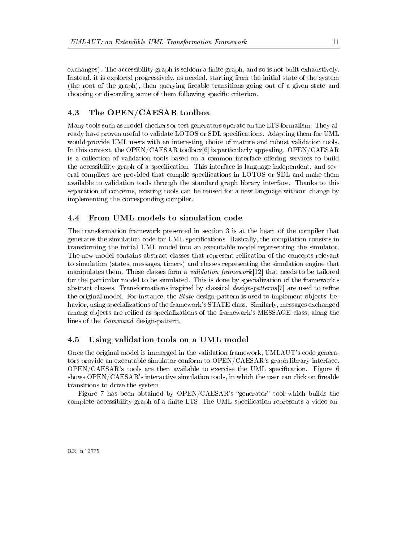exchanges). The accessibility graph is seldom a finite graph, and so is not built exhaustively. Instead, it is explored progressively, as needed, starting from the initial state of the system (the root of the graph), then querying fireable transitions going out of a given state and choosing or discarding some of them following specific criterion.

## 4.3 The OPEN CAESAR toolbox

Many tools such as model-checkers or test generators operate on the LTS formalism. They already have proven useful to validate LOTOS or SDL specifications. Adapting them for UML would provide UML users with an interesting choice of mature and robust validation tools In this context, the OPEN/CAESAR toolbox  $[6]$  is particularly appealing. OPEN/CAESAR is a collection of validation tools based on a common interface offering services to build the accessibility graph of a specification. This interface is language independent, and several compilers are provided that compile specifications in LOTOS or SDL and make them available to validation tools through the standard graph library interface Thanks to this separation of concerns, existing tools can be reused for a new language without change by implementing the corresponding compiler

## 4.4 From UML models to simulation code

The transformation framework presented in section 3 is at the heart of the compiler that generates the simulation code for UML specifications. Basically, the compilation consists in transforming the initial UML model into an executable model representing the simulator The new model contains abstract classes that represent reification of the concepts relevant to simulation (states, messages, timers) and classes representing the simulation engine that manipulates them a validation form a validation form a validation of the second to be the tailored the complete for the particular model to be simulated. This is done by specialization of the framework's abstract classes Transformations inspired by classical design-patterns are used to rene the original model. For instance, the *State* design-pattern is used to implement objects' behavior, using specializations of the framework's STATE class. Similarly, messages exchanged among objects are reified as specializations of the framework's MESSAGE class, along the lines of the *Command* design-pattern.

## 4.5 Using validation tools on a UML model

Once the original model is immerged in the validation framework, UMLAUT's code generators provide an executable simulator conform to  $OPEN/CAESAR$ 's graph library interface.  $OPEN/CAESAR$ 's tools are then available to exercise the UML specification. Figure 6 shows  $\text{OPEN}/\text{CAESAR}$ 's interactive simulation tools, in which the user can click on fireable transitions to drive the system

Figure 7 has been obtained by  $\text{OPEN/CAESAR's}$  "generator" tool which builds the complete accessibility graph of a finite LTS. The UML specification represents a video-on-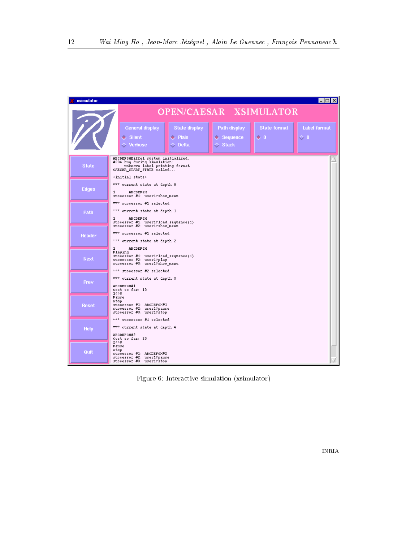

Figure 6: Interactive simulation (xsimulator)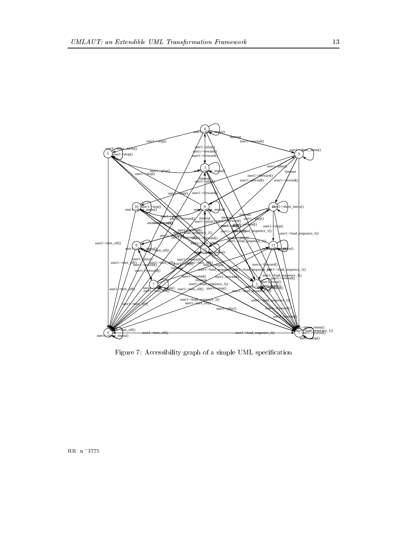

Figure 7: Accessibility graph of a simple UML specification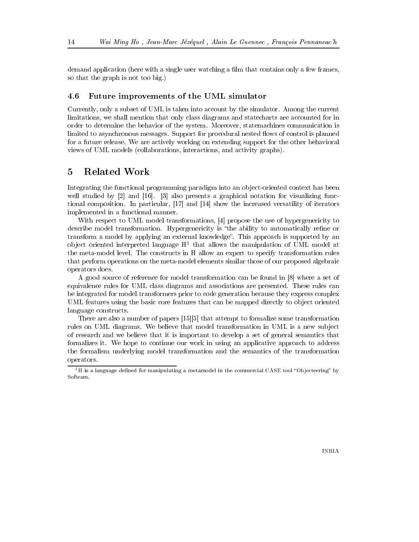demand application (here with a single user watching a film that contains only a few frames, so that the graph is not too big

#### 4.6  Future improvements of the UML simulator

Currently, only a subset of UML is taken into account by the simulator. Among the current limitations, we shall mention that only class diagrams and state charts are accounted for in order to determine the behavior of the system. Moreover, statemachines communication is limited to asynchronous messages. Support for procedural nested flows of control is planned for a future release We are actively working on extending support for the other behavioral views of UML models (collaborations, interactions, and activity graphs).

## 5 Related Work

Integrating the functional programming paradigm into an object-oriented context has been well studied by and - and - also present a graphical notation for visualizing function  $\alpha$ tional composition are particularly if it and if  $\mathbf{q}$  and iterations the increased versions of implemented in a functional manner

With respect to UML model transformations, [4] propose the use of hypergenericity to describe model transformation. Hypergenericity is "the ability to automatically refine or transform a model by applying an external knowledge". This approach is supported by an ob ject oriented interpreted language H that allows the manipulation of UML model at the meta-model level. The constructs in H allow an expert to specify transformation rules that perform operations on the meta-model elements similar those of our proposed algebraic operators does

A good source of reference for model transformation can be found in  $[8]$  where a set of equivalence rules for UML class diagrams and associations are presented. These rules can be integrated for model transformers prior to code generation because they express complex UML features using the basic core features that can be mapped directly to object oriented language constructs

There are also a number of papers - that attempt to formalize some transformation rules on UML diagrams. We believe that model transformation in UML is a new subject of research and we believe that it is important to develop a set of general semantics that formalizes it We hope to continue our work in using an applicative approach to address the formalism underlying model transformation and the semantics of the transformation operators

 $\tau$ n is a language defined for manipulating a metamodel in the commercial CASE tool Objecteering - by  $\tau$ Softeam.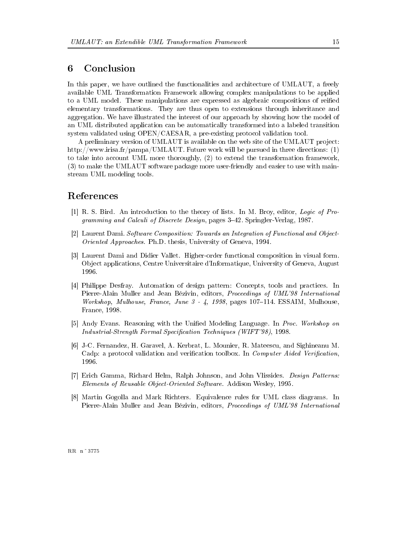## Conclusion 6

In this paper, we have outlined the functionalities and architecture of UMLAUT, a freely available UML Transformation Framework allowing complex manipulations to be applied to a UML model. These manipulations are expressed as algebraic compositions of reified elementary transformations They are thus open to extensions through inheritance and aggregation We have illustrated the interest of our approach by showing how the model of an UML distributed application can be automatically transformed into a labeled transition system validated using  $\text{OPEN}/\text{CAESAR}$ , a pre-existing protocol validation tool.

A preliminary version of UMLAUT is available on the web site of the UMLAUT project: http!!www
irisa
fr!pampa!UMLAUT
 Future work will be pursued in three directions to take into account UML more thoroughly,  $(2)$  to extend the transformation framework,  $(3)$  to make the UMLAUT software package more user-friendly and easier to use with mainstream UML modeling tools

## References

- R S Bird An introduction to the theory of lists In M Broy editor Logic of Pro- $\mathcal{L}$  and  $\mathcal{L}$  and  $\mathcal{L}$  pages  $\mathcal{L}$  . The Discrete Designation pages  $\mathcal{L}$  and  $\mathcal{L}$
- [2] Laurent Dami. Software Composition: Towards an Integration of Functional and Object-Oriented Approaches Ph
D
 thesis University of Geneva -
- [3] Laurent Dami and Didier Vallet. Higher-order functional composition in visual form. Object applications, Centre Universitaire d'Informatique, University of Geneva, August
- [4] Philippe Desfray. Automation of design pattern: Concepts, tools and practices. In PierreAlain Muller and Jean Bzivin editors Proceedings of UML International where  $\mu$  , we arrive arrive a whole  $\mu$  , we have the pages of the contract and the second contract of France - "
- [5] Andy Evans. Reasoning with the Unified Modeling Language. In Proc. Workshop on Industrial-Strength Formal Specication Techniques WIFT - "
- [6] J-C. Fernandez, H. Garavel, A. Kerbrat, L. Mounier, R. Mateescu, and Sighineanu M. Cadp: a protocol validation and verification toolbox. In *Computer Aided Verification*.
- [7] Erich Gamma, Richard Helm, Ralph Johnson, and John Vlissides. Design Patterns: Elements of Reusable Object-Oriented Software Addison Wesley -
- [8] Martin Gogolla and Mark Richters. Equivalence rules for UML class diagrams. In PierreAlain Muller and Jean Bzivin editors Proceedings of UML International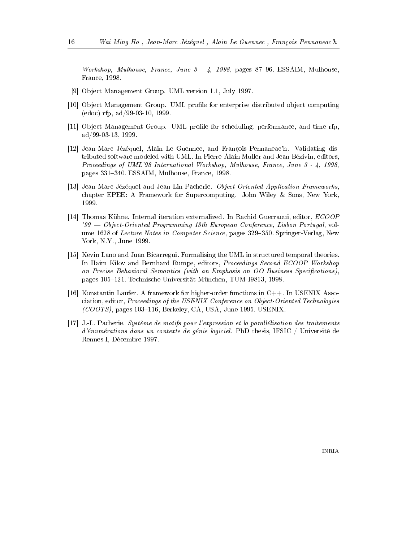Workshop, Mulhouse, France, June 3 - 4, 1998, pages 87–96. ESSAIM, Mulhouse, France, 1998.

- [9] Object Management Group. UML version 1.1, July 1997.
- [10] Object Management Group. UML profile for enterprise distributed object computing  $($ edoc $)$  rfp, ad/99-03-10, 1999.
- [11] Object Management Group. UML profile for scheduling, performance, and time rfp,  $ad/99-03-13, 1999.$
- [12] Jean-Marc Jézéquel, Alain Le Guennec, and François Pennaneac'h. Validating distributed software modeled with UML. In Pierre-Alain Muller and Jean Bézivin, editors. Proceedings of UML'98 International Workshop, Mulhouse, France, June 3 - 4, 1998, pages 331-340. ESSAIM, Mulhouse, France, 1998.
- [13] Jean-Marc Jézéquel and Jean-Lin Pacherie. Object-Oriented Application Frameworks, chapter EPEE: A Framework for Supercomputing. John Wiley & Sons, New York. 1999.
- [14] Thomas Kühne. Internal iteration externalized. In Rachid Guerraoui, editor, *ECOOP*  $\gamma_{99}$  — Object-Oriented Programming 13th European Conference, Lisbon Portugal, volume 1628 of Lecture Notes in Computer Science, pages 329–350. Springer-Verlag, New York, N.Y., June 1999.
- [15] Kevin Lano and Juan Bicarregui. Formalising the UML in structured temporal theories. In Haim Kilov and Bernhard Rumpe, editors, Proceedings Second ECOOP Workshop on Precise Behavioral Semantics (with an Emphasis on OO Business Specifications), pages 105–121. Technische Universität München, TUM-I9813, 1998.
- [16] Konstantin Laufer. A framework for higher-order functions in  $C++$ . In USENIX Association, editor, Proceedings of the USENIX Conference on Object-Oriented Technologies  $(COOTS)$ , pages 103-116, Berkeley, CA, USA, June 1995. USENIX.
- [17] J.-L. Pacherie. Système de motifs pour l'expression et la parallélisation des traitements d'énumérations dans un contexte de génie logiciel. PhD thesis, IFSIC / Université de Rennes I, Décembre 1997.